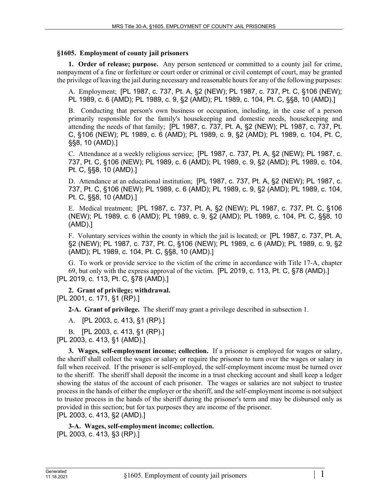## **§1605. Employment of county jail prisoners**

**1. Order of release; purpose.** Any person sentenced or committed to a county jail for crime, nonpayment of a fine or forfeiture or court order or criminal or civil contempt of court, may be granted the privilege of leaving the jail during necessary and reasonable hours for any of the following purposes:

A. Employment; [PL 1987, c. 737, Pt. A, §2 (NEW); PL 1987, c. 737, Pt. C, §106 (NEW); PL 1989, c. 6 (AMD); PL 1989, c. 9, §2 (AMD); PL 1989, c. 104, Pt. C, §§8, 10 (AMD).]

B. Conducting that person's own business or occupation, including, in the case of a person primarily responsible for the family's housekeeping and domestic needs, housekeeping and attending the needs of that family; [PL 1987, c. 737, Pt. A, §2 (NEW); PL 1987, c. 737, Pt. C, §106 (NEW); PL 1989, c. 6 (AMD); PL 1989, c. 9, §2 (AMD); PL 1989, c. 104, Pt. C, §§8, 10 (AMD).]

C. Attendance at a weekly religious service; [PL 1987, c. 737, Pt. A, §2 (NEW); PL 1987, c. 737, Pt. C, §106 (NEW); PL 1989, c. 6 (AMD); PL 1989, c. 9, §2 (AMD); PL 1989, c. 104, Pt. C, §§8, 10 (AMD).]

D. Attendance at an educational institution; [PL 1987, c. 737, Pt. A, §2 (NEW); PL 1987, c. 737, Pt. C, §106 (NEW); PL 1989, c. 6 (AMD); PL 1989, c. 9, §2 (AMD); PL 1989, c. 104, Pt. C, §§8, 10 (AMD).]

E. Medical treatment; [PL 1987, c. 737, Pt. A, §2 (NEW); PL 1987, c. 737, Pt. C, §106 (NEW); PL 1989, c. 6 (AMD); PL 1989, c. 9, §2 (AMD); PL 1989, c. 104, Pt. C, §§8, 10 (AMD).]

F. Voluntary services within the county in which the jail is located; or [PL 1987, c. 737, Pt. A, §2 (NEW); PL 1987, c. 737, Pt. C, §106 (NEW); PL 1989, c. 6 (AMD); PL 1989, c. 9, §2 (AMD); PL 1989, c. 104, Pt. C, §§8, 10 (AMD).]

G. To work or provide service to the victim of the crime in accordance with Title 17‑A, chapter 69, but only with the express approval of the victim. [PL 2019, c. 113, Pt. C, §78 (AMD).] [PL 2019, c. 113, Pt. C, §78 (AMD).]

**2. Grant of privilege; withdrawal.** 

[PL 2001, c. 171, §1 (RP).]

**2-A. Grant of privilege.** The sheriff may grant a privilege described in subsection 1.

A. [PL 2003, c. 413, §1 (RP).]

B. [PL 2003, c. 413, §1 (RP).]

[PL 2003, c. 413, §1 (AMD).]

**3. Wages, self-employment income; collection.** If a prisoner is employed for wages or salary, the sheriff shall collect the wages or salary or require the prisoner to turn over the wages or salary in full when received. If the prisoner is self-employed, the self-employment income must be turned over to the sheriff. The sheriff shall deposit the income in a trust checking account and shall keep a ledger showing the status of the account of each prisoner. The wages or salaries are not subject to trustee process in the hands of either the employer or the sheriff, and the self-employment income is not subject to trustee process in the hands of the sheriff during the prisoner's term and may be disbursed only as provided in this section; but for tax purposes they are income of the prisoner. [PL 2003, c. 413, §2 (AMD).]

**3-A. Wages, self-employment income; collection.**  [PL 2003, c. 413, §3 (RP).]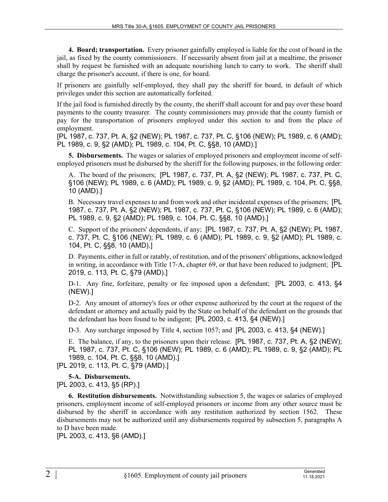**4. Board; transportation.** Every prisoner gainfully employed is liable for the cost of board in the jail, as fixed by the county commissioners. If necessarily absent from jail at a mealtime, the prisoner shall by request be furnished with an adequate nourishing lunch to carry to work. The sheriff shall charge the prisoner's account, if there is one, for board.

If prisoners are gainfully self-employed, they shall pay the sheriff for board, in default of which privileges under this section are automatically forfeited.

If the jail food is furnished directly by the county, the sheriff shall account for and pay over these board payments to the county treasurer. The county commissioners may provide that the county furnish or pay for the transportation of prisoners employed under this section to and from the place of employment.

[PL 1987, c. 737, Pt. A, §2 (NEW); PL 1987, c. 737, Pt. C, §106 (NEW); PL 1989, c. 6 (AMD); PL 1989, c. 9, §2 (AMD); PL 1989, c. 104, Pt. C, §§8, 10 (AMD).]

**5. Disbursements.** The wages or salaries of employed prisoners and employment income of selfemployed prisoners must be disbursed by the sheriff for the following purposes, in the following order:

A. The board of the prisoners; [PL 1987, c. 737, Pt. A, §2 (NEW); PL 1987, c. 737, Pt. C, §106 (NEW); PL 1989, c. 6 (AMD); PL 1989, c. 9, §2 (AMD); PL 1989, c. 104, Pt. C, §§8, 10 (AMD).]

B. Necessary travel expenses to and from work and other incidental expenses of the prisoners; [PL 1987, c. 737, Pt. A, §2 (NEW); PL 1987, c. 737, Pt. C, §106 (NEW); PL 1989, c. 6 (AMD); PL 1989, c. 9, §2 (AMD); PL 1989, c. 104, Pt. C, §§8, 10 (AMD).]

C. Support of the prisoners' dependents, if any; [PL 1987, c. 737, Pt. A, §2 (NEW); PL 1987, c. 737, Pt. C, §106 (NEW); PL 1989, c. 6 (AMD); PL 1989, c. 9, §2 (AMD); PL 1989, c. 104, Pt. C, §§8, 10 (AMD).]

D. Payments, either in full or ratably, of restitution, and of the prisoners' obligations, acknowledged in writing, in accordance with Title 17‑A, chapter 69, or that have been reduced to judgment; [PL 2019, c. 113, Pt. C, §79 (AMD).]

D-1. Any fine, forfeiture, penalty or fee imposed upon a defendant; [PL 2003, c. 413, §4 (NEW).]

D-2. Any amount of attorney's fees or other expense authorized by the court at the request of the defendant or attorney and actually paid by the State on behalf of the defendant on the grounds that the defendant has been found to be indigent; [PL 2003, c. 413, §4 (NEW).]

D-3. Any surcharge imposed by Title 4, section 1057; and [PL 2003, c. 413, §4 (NEW).]

E. The balance, if any, to the prisoners upon their release. [PL 1987, c. 737, Pt. A, §2 (NEW); PL 1987, c. 737, Pt. C, §106 (NEW); PL 1989, c. 6 (AMD); PL 1989, c. 9, §2 (AMD); PL 1989, c. 104, Pt. C, §§8, 10 (AMD).]

[PL 2019, c. 113, Pt. C, §79 (AMD).]

**5-A. Disbursements.** 

[PL 2003, c. 413, §5 (RP).]

**6. Restitution disbursements.** Notwithstanding subsection 5, the wages or salaries of employed prisoners, employment income of self-employed prisoners or income from any other source must be disbursed by the sheriff in accordance with any restitution authorized by section 1562. These disbursements may not be authorized until any disbursements required by subsection 5, paragraphs A to D have been made.

[PL 2003, c. 413, §6 (AMD).]